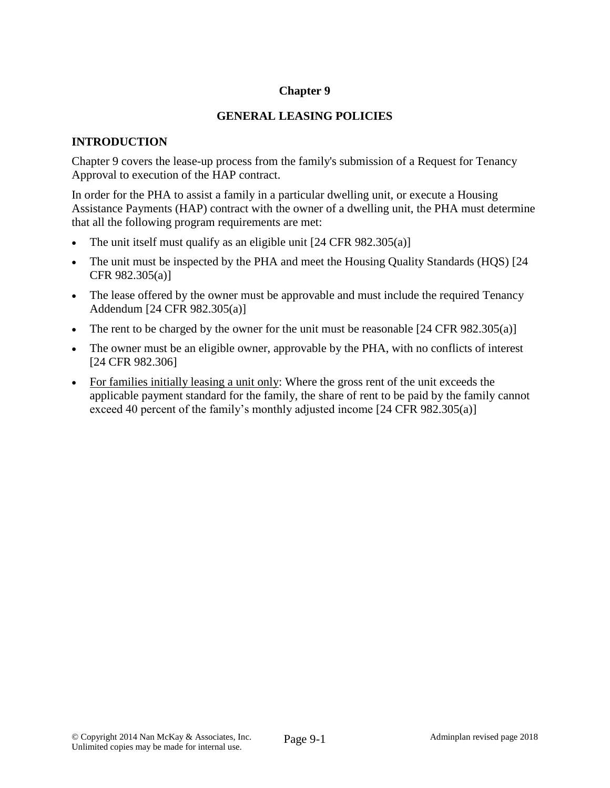## **Chapter 9**

## **GENERAL LEASING POLICIES**

## **INTRODUCTION**

Chapter 9 covers the lease-up process from the family's submission of a Request for Tenancy Approval to execution of the HAP contract.

In order for the PHA to assist a family in a particular dwelling unit, or execute a Housing Assistance Payments (HAP) contract with the owner of a dwelling unit, the PHA must determine that all the following program requirements are met:

- The unit itself must qualify as an eligible unit [24 CFR 982.305(a)]
- The unit must be inspected by the PHA and meet the Housing Quality Standards (HQS) [24 CFR 982.305(a)]
- The lease offered by the owner must be approvable and must include the required Tenancy Addendum [24 CFR 982.305(a)]
- The rent to be charged by the owner for the unit must be reasonable  $[24 \text{ CFR } 982.305(a)]$
- The owner must be an eligible owner, approvable by the PHA, with no conflicts of interest [24 CFR 982.306]
- For families initially leasing a unit only: Where the gross rent of the unit exceeds the applicable payment standard for the family, the share of rent to be paid by the family cannot exceed 40 percent of the family's monthly adjusted income [24 CFR 982.305(a)]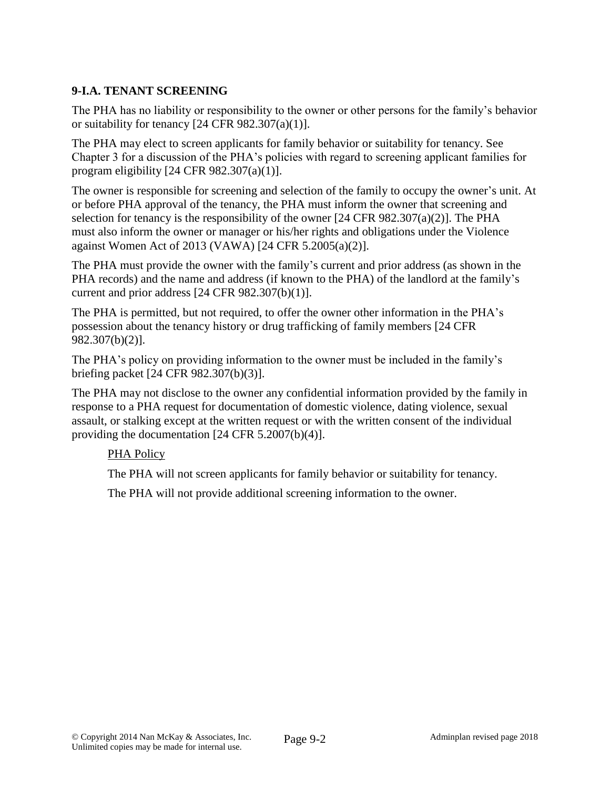# **9-I.A. TENANT SCREENING**

The PHA has no liability or responsibility to the owner or other persons for the family's behavior or suitability for tenancy  $[24 \text{ CFR } 982.307(a)(1)].$ 

The PHA may elect to screen applicants for family behavior or suitability for tenancy. See Chapter 3 for a discussion of the PHA's policies with regard to screening applicant families for program eligibility [24 CFR 982.307(a)(1)].

The owner is responsible for screening and selection of the family to occupy the owner's unit. At or before PHA approval of the tenancy, the PHA must inform the owner that screening and selection for tenancy is the responsibility of the owner  $[24 \text{ CFR } 982.307(a)(2)]$ . The PHA must also inform the owner or manager or his/her rights and obligations under the Violence against Women Act of 2013 (VAWA) [24 CFR 5.2005(a)(2)].

The PHA must provide the owner with the family's current and prior address (as shown in the PHA records) and the name and address (if known to the PHA) of the landlord at the family's current and prior address [24 CFR 982.307(b)(1)].

The PHA is permitted, but not required, to offer the owner other information in the PHA's possession about the tenancy history or drug trafficking of family members [24 CFR 982.307(b)(2)].

The PHA's policy on providing information to the owner must be included in the family's briefing packet [24 CFR 982.307(b)(3)].

The PHA may not disclose to the owner any confidential information provided by the family in response to a PHA request for documentation of domestic violence, dating violence, sexual assault, or stalking except at the written request or with the written consent of the individual providing the documentation [24 CFR 5.2007(b)(4)].

### PHA Policy

The PHA will not screen applicants for family behavior or suitability for tenancy.

The PHA will not provide additional screening information to the owner.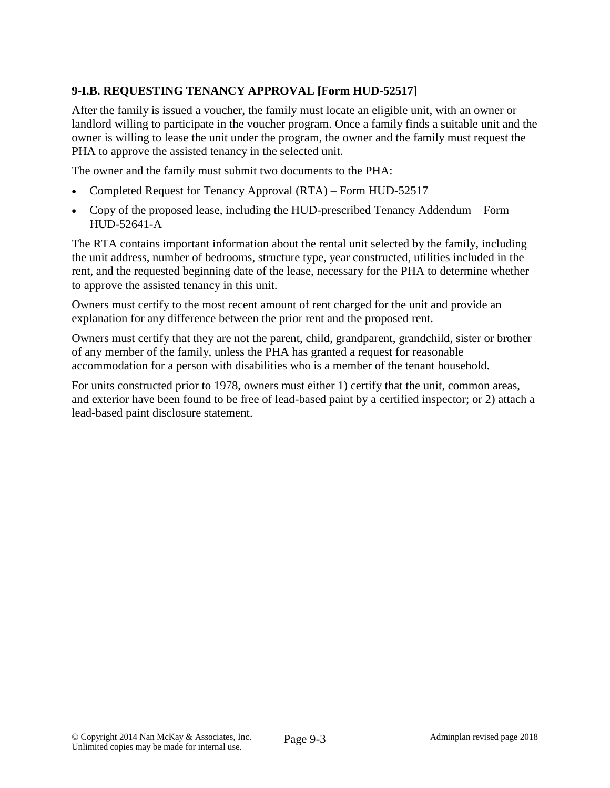# **9-I.B. REQUESTING TENANCY APPROVAL [Form HUD-52517]**

After the family is issued a voucher, the family must locate an eligible unit, with an owner or landlord willing to participate in the voucher program. Once a family finds a suitable unit and the owner is willing to lease the unit under the program, the owner and the family must request the PHA to approve the assisted tenancy in the selected unit.

The owner and the family must submit two documents to the PHA:

- Completed Request for Tenancy Approval (RTA) Form HUD-52517
- Copy of the proposed lease, including the HUD-prescribed Tenancy Addendum Form HUD-52641-A

The RTA contains important information about the rental unit selected by the family, including the unit address, number of bedrooms, structure type, year constructed, utilities included in the rent, and the requested beginning date of the lease, necessary for the PHA to determine whether to approve the assisted tenancy in this unit.

Owners must certify to the most recent amount of rent charged for the unit and provide an explanation for any difference between the prior rent and the proposed rent.

Owners must certify that they are not the parent, child, grandparent, grandchild, sister or brother of any member of the family, unless the PHA has granted a request for reasonable accommodation for a person with disabilities who is a member of the tenant household.

For units constructed prior to 1978, owners must either 1) certify that the unit, common areas, and exterior have been found to be free of lead-based paint by a certified inspector; or 2) attach a lead-based paint disclosure statement.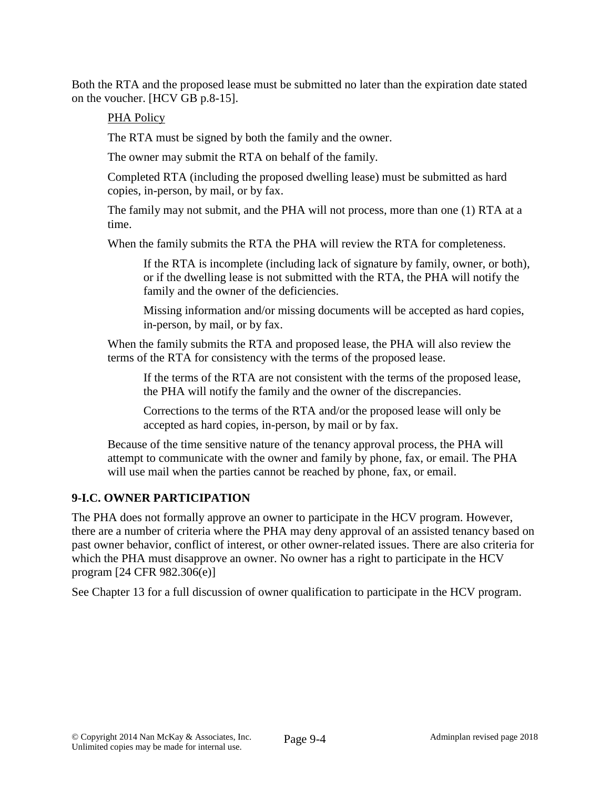Both the RTA and the proposed lease must be submitted no later than the expiration date stated on the voucher. [HCV GB p.8-15].

## PHA Policy

The RTA must be signed by both the family and the owner.

The owner may submit the RTA on behalf of the family.

Completed RTA (including the proposed dwelling lease) must be submitted as hard copies, in-person, by mail, or by fax.

The family may not submit, and the PHA will not process, more than one (1) RTA at a time.

When the family submits the RTA the PHA will review the RTA for completeness.

If the RTA is incomplete (including lack of signature by family, owner, or both), or if the dwelling lease is not submitted with the RTA, the PHA will notify the family and the owner of the deficiencies.

Missing information and/or missing documents will be accepted as hard copies, in-person, by mail, or by fax.

When the family submits the RTA and proposed lease, the PHA will also review the terms of the RTA for consistency with the terms of the proposed lease.

If the terms of the RTA are not consistent with the terms of the proposed lease, the PHA will notify the family and the owner of the discrepancies.

Corrections to the terms of the RTA and/or the proposed lease will only be accepted as hard copies, in-person, by mail or by fax.

Because of the time sensitive nature of the tenancy approval process, the PHA will attempt to communicate with the owner and family by phone, fax, or email. The PHA will use mail when the parties cannot be reached by phone, fax, or email.

# **9-I.C. OWNER PARTICIPATION**

The PHA does not formally approve an owner to participate in the HCV program. However, there are a number of criteria where the PHA may deny approval of an assisted tenancy based on past owner behavior, conflict of interest, or other owner-related issues. There are also criteria for which the PHA must disapprove an owner. No owner has a right to participate in the HCV program [24 CFR 982.306(e)]

See Chapter 13 for a full discussion of owner qualification to participate in the HCV program.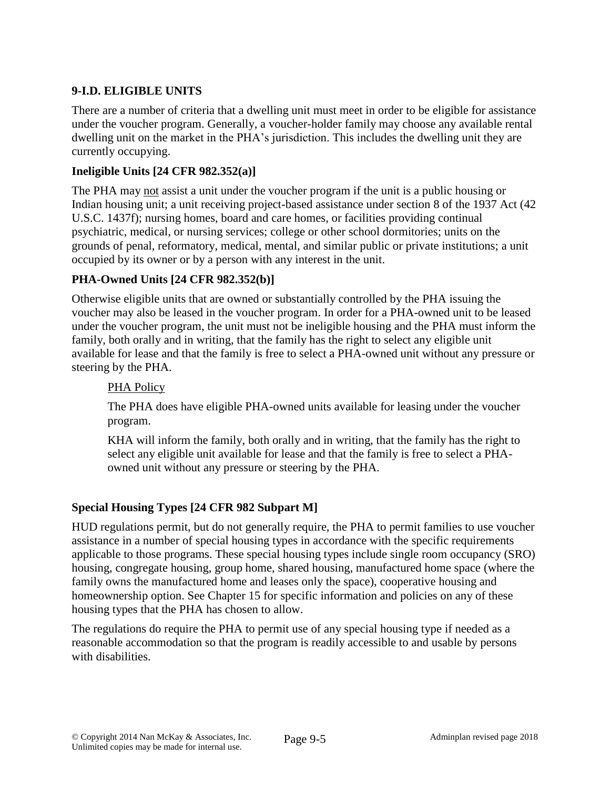# **9-I.D. ELIGIBLE UNITS**

There are a number of criteria that a dwelling unit must meet in order to be eligible for assistance under the voucher program. Generally, a voucher-holder family may choose any available rental dwelling unit on the market in the PHA's jurisdiction. This includes the dwelling unit they are currently occupying.

## **Ineligible Units [24 CFR 982.352(a)]**

The PHA may not assist a unit under the voucher program if the unit is a public housing or Indian housing unit; a unit receiving project-based assistance under section 8 of the 1937 Act (42 U.S.C. 1437f); nursing homes, board and care homes, or facilities providing continual psychiatric, medical, or nursing services; college or other school dormitories; units on the grounds of penal, reformatory, medical, mental, and similar public or private institutions; a unit occupied by its owner or by a person with any interest in the unit.

# **PHA-Owned Units [24 CFR 982.352(b)]**

Otherwise eligible units that are owned or substantially controlled by the PHA issuing the voucher may also be leased in the voucher program. In order for a PHA-owned unit to be leased under the voucher program, the unit must not be ineligible housing and the PHA must inform the family, both orally and in writing, that the family has the right to select any eligible unit available for lease and that the family is free to select a PHA-owned unit without any pressure or steering by the PHA.

## PHA Policy

The PHA does have eligible PHA-owned units available for leasing under the voucher program.

KHA will inform the family, both orally and in writing, that the family has the right to select any eligible unit available for lease and that the family is free to select a PHAowned unit without any pressure or steering by the PHA.

# **Special Housing Types [24 CFR 982 Subpart M]**

HUD regulations permit, but do not generally require, the PHA to permit families to use voucher assistance in a number of special housing types in accordance with the specific requirements applicable to those programs. These special housing types include single room occupancy (SRO) housing, congregate housing, group home, shared housing, manufactured home space (where the family owns the manufactured home and leases only the space), cooperative housing and homeownership option. See Chapter 15 for specific information and policies on any of these housing types that the PHA has chosen to allow.

The regulations do require the PHA to permit use of any special housing type if needed as a reasonable accommodation so that the program is readily accessible to and usable by persons with disabilities.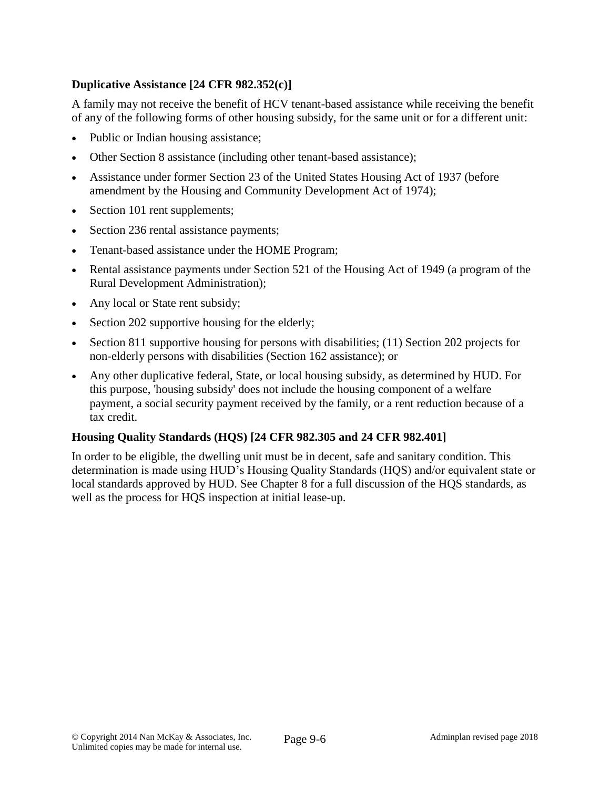## **Duplicative Assistance [24 CFR 982.352(c)]**

A family may not receive the benefit of HCV tenant-based assistance while receiving the benefit of any of the following forms of other housing subsidy, for the same unit or for a different unit:

- Public or Indian housing assistance;
- Other Section 8 assistance (including other tenant-based assistance);
- Assistance under former Section 23 of the United States Housing Act of 1937 (before amendment by the Housing and Community Development Act of 1974);
- Section 101 rent supplements;
- Section 236 rental assistance payments;
- Tenant-based assistance under the HOME Program;
- Rental assistance payments under Section 521 of the Housing Act of 1949 (a program of the Rural Development Administration);
- Any local or State rent subsidy;
- Section 202 supportive housing for the elderly;
- Section 811 supportive housing for persons with disabilities; (11) Section 202 projects for non-elderly persons with disabilities (Section 162 assistance); or
- Any other duplicative federal, State, or local housing subsidy, as determined by HUD. For this purpose, 'housing subsidy' does not include the housing component of a welfare payment, a social security payment received by the family, or a rent reduction because of a tax credit.

#### **Housing Quality Standards (HQS) [24 CFR 982.305 and 24 CFR 982.401]**

In order to be eligible, the dwelling unit must be in decent, safe and sanitary condition. This determination is made using HUD's Housing Quality Standards (HQS) and/or equivalent state or local standards approved by HUD. See Chapter 8 for a full discussion of the HQS standards, as well as the process for HQS inspection at initial lease-up.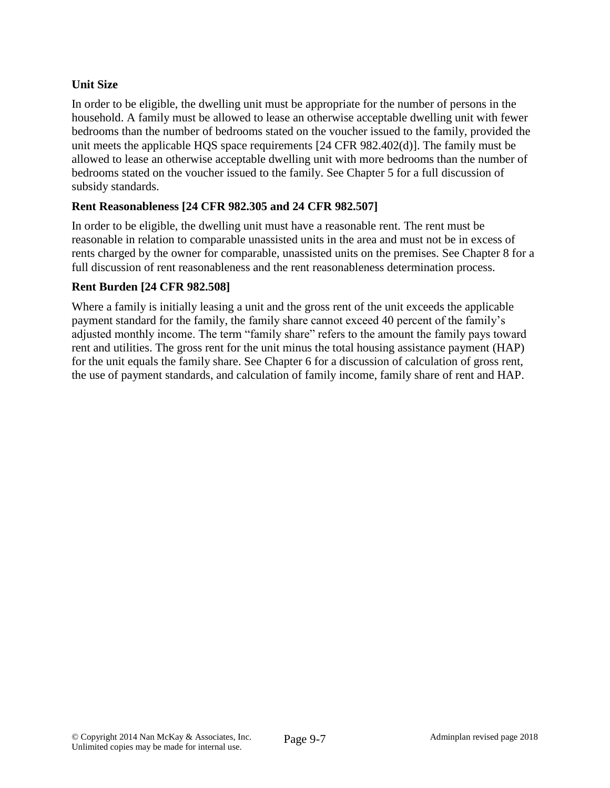# **Unit Size**

In order to be eligible, the dwelling unit must be appropriate for the number of persons in the household. A family must be allowed to lease an otherwise acceptable dwelling unit with fewer bedrooms than the number of bedrooms stated on the voucher issued to the family, provided the unit meets the applicable HQS space requirements [24 CFR 982.402(d)]. The family must be allowed to lease an otherwise acceptable dwelling unit with more bedrooms than the number of bedrooms stated on the voucher issued to the family. See Chapter 5 for a full discussion of subsidy standards.

### **Rent Reasonableness [24 CFR 982.305 and 24 CFR 982.507]**

In order to be eligible, the dwelling unit must have a reasonable rent. The rent must be reasonable in relation to comparable unassisted units in the area and must not be in excess of rents charged by the owner for comparable, unassisted units on the premises. See Chapter 8 for a full discussion of rent reasonableness and the rent reasonableness determination process.

#### **Rent Burden [24 CFR 982.508]**

Where a family is initially leasing a unit and the gross rent of the unit exceeds the applicable payment standard for the family, the family share cannot exceed 40 percent of the family's adjusted monthly income. The term "family share" refers to the amount the family pays toward rent and utilities. The gross rent for the unit minus the total housing assistance payment (HAP) for the unit equals the family share. See Chapter 6 for a discussion of calculation of gross rent, the use of payment standards, and calculation of family income, family share of rent and HAP.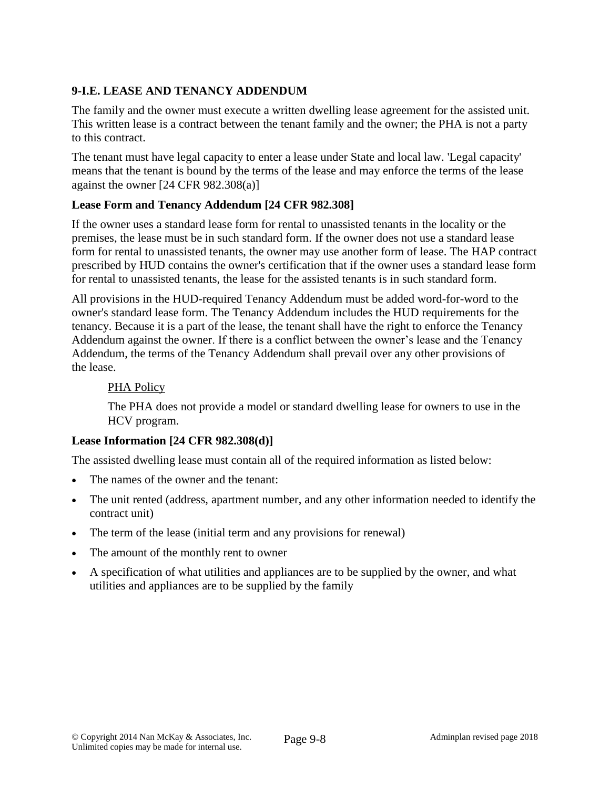# **9-I.E. LEASE AND TENANCY ADDENDUM**

The family and the owner must execute a written dwelling lease agreement for the assisted unit. This written lease is a contract between the tenant family and the owner; the PHA is not a party to this contract.

The tenant must have legal capacity to enter a lease under State and local law. 'Legal capacity' means that the tenant is bound by the terms of the lease and may enforce the terms of the lease against the owner [24 CFR 982.308(a)]

## **Lease Form and Tenancy Addendum [24 CFR 982.308]**

If the owner uses a standard lease form for rental to unassisted tenants in the locality or the premises, the lease must be in such standard form. If the owner does not use a standard lease form for rental to unassisted tenants, the owner may use another form of lease. The HAP contract prescribed by HUD contains the owner's certification that if the owner uses a standard lease form for rental to unassisted tenants, the lease for the assisted tenants is in such standard form.

All provisions in the HUD-required Tenancy Addendum must be added word-for-word to the owner's standard lease form. The Tenancy Addendum includes the HUD requirements for the tenancy. Because it is a part of the lease, the tenant shall have the right to enforce the Tenancy Addendum against the owner. If there is a conflict between the owner's lease and the Tenancy Addendum, the terms of the Tenancy Addendum shall prevail over any other provisions of the lease.

### PHA Policy

The PHA does not provide a model or standard dwelling lease for owners to use in the HCV program.

### **Lease Information [24 CFR 982.308(d)]**

The assisted dwelling lease must contain all of the required information as listed below:

- The names of the owner and the tenant:
- The unit rented (address, apartment number, and any other information needed to identify the contract unit)
- The term of the lease (initial term and any provisions for renewal)
- The amount of the monthly rent to owner
- A specification of what utilities and appliances are to be supplied by the owner, and what utilities and appliances are to be supplied by the family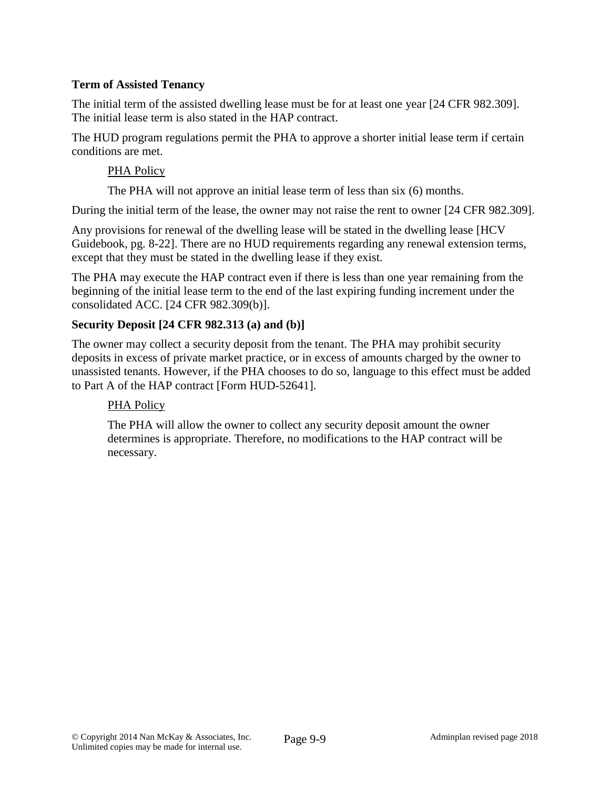### **Term of Assisted Tenancy**

The initial term of the assisted dwelling lease must be for at least one year [24 CFR 982.309]. The initial lease term is also stated in the HAP contract.

The HUD program regulations permit the PHA to approve a shorter initial lease term if certain conditions are met.

#### PHA Policy

The PHA will not approve an initial lease term of less than six (6) months.

During the initial term of the lease, the owner may not raise the rent to owner [24 CFR 982.309].

Any provisions for renewal of the dwelling lease will be stated in the dwelling lease [HCV Guidebook, pg. 8-22]. There are no HUD requirements regarding any renewal extension terms, except that they must be stated in the dwelling lease if they exist.

The PHA may execute the HAP contract even if there is less than one year remaining from the beginning of the initial lease term to the end of the last expiring funding increment under the consolidated ACC. [24 CFR 982.309(b)].

#### **Security Deposit [24 CFR 982.313 (a) and (b)]**

The owner may collect a security deposit from the tenant. The PHA may prohibit security deposits in excess of private market practice, or in excess of amounts charged by the owner to unassisted tenants. However, if the PHA chooses to do so, language to this effect must be added to Part A of the HAP contract [Form HUD-52641].

### PHA Policy

The PHA will allow the owner to collect any security deposit amount the owner determines is appropriate. Therefore, no modifications to the HAP contract will be necessary.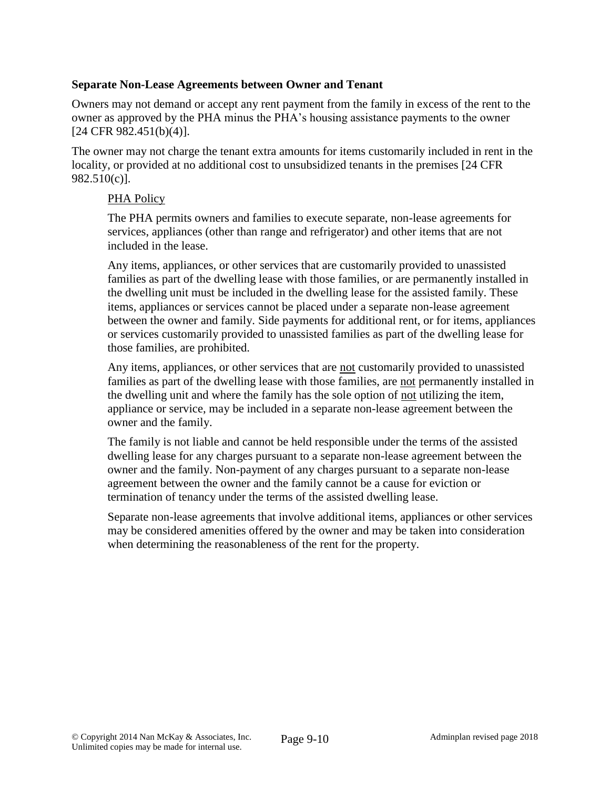#### **Separate Non-Lease Agreements between Owner and Tenant**

Owners may not demand or accept any rent payment from the family in excess of the rent to the owner as approved by the PHA minus the PHA's housing assistance payments to the owner [24 CFR 982.451(b)(4)].

The owner may not charge the tenant extra amounts for items customarily included in rent in the locality, or provided at no additional cost to unsubsidized tenants in the premises [24 CFR 982.510(c)].

#### PHA Policy

The PHA permits owners and families to execute separate, non-lease agreements for services, appliances (other than range and refrigerator) and other items that are not included in the lease.

Any items, appliances, or other services that are customarily provided to unassisted families as part of the dwelling lease with those families, or are permanently installed in the dwelling unit must be included in the dwelling lease for the assisted family. These items, appliances or services cannot be placed under a separate non-lease agreement between the owner and family. Side payments for additional rent, or for items, appliances or services customarily provided to unassisted families as part of the dwelling lease for those families, are prohibited.

Any items, appliances, or other services that are not customarily provided to unassisted families as part of the dwelling lease with those families, are not permanently installed in the dwelling unit and where the family has the sole option of not utilizing the item, appliance or service, may be included in a separate non-lease agreement between the owner and the family.

The family is not liable and cannot be held responsible under the terms of the assisted dwelling lease for any charges pursuant to a separate non-lease agreement between the owner and the family. Non-payment of any charges pursuant to a separate non-lease agreement between the owner and the family cannot be a cause for eviction or termination of tenancy under the terms of the assisted dwelling lease.

Separate non-lease agreements that involve additional items, appliances or other services may be considered amenities offered by the owner and may be taken into consideration when determining the reasonableness of the rent for the property.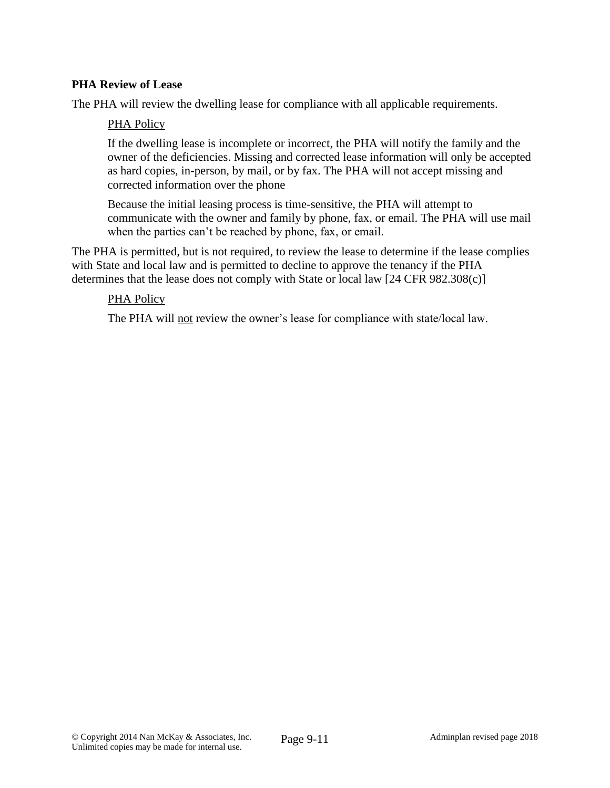## **PHA Review of Lease**

The PHA will review the dwelling lease for compliance with all applicable requirements.

### PHA Policy

If the dwelling lease is incomplete or incorrect, the PHA will notify the family and the owner of the deficiencies. Missing and corrected lease information will only be accepted as hard copies, in-person, by mail, or by fax. The PHA will not accept missing and corrected information over the phone

Because the initial leasing process is time-sensitive, the PHA will attempt to communicate with the owner and family by phone, fax, or email. The PHA will use mail when the parties can't be reached by phone, fax, or email.

The PHA is permitted, but is not required, to review the lease to determine if the lease complies with State and local law and is permitted to decline to approve the tenancy if the PHA determines that the lease does not comply with State or local law [24 CFR 982.308(c)]

#### PHA Policy

The PHA will not review the owner's lease for compliance with state/local law.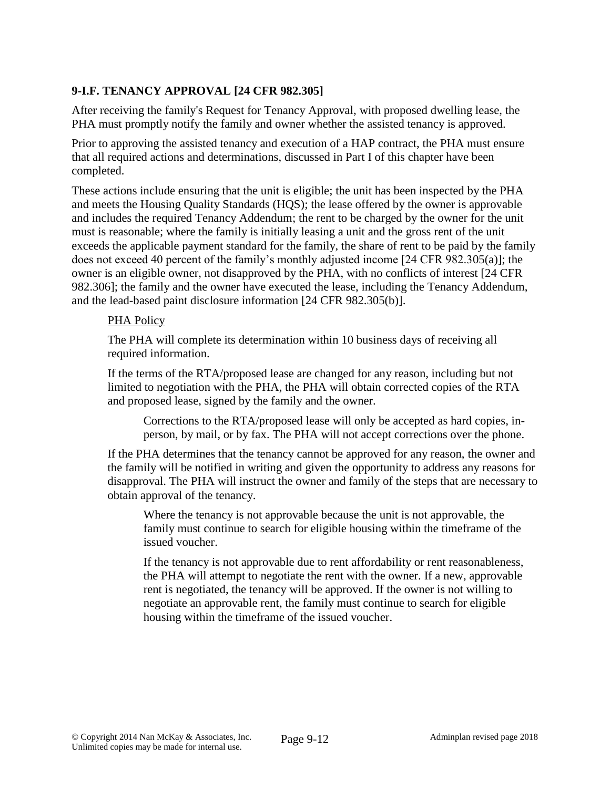## **9-I.F. TENANCY APPROVAL [24 CFR 982.305]**

After receiving the family's Request for Tenancy Approval, with proposed dwelling lease, the PHA must promptly notify the family and owner whether the assisted tenancy is approved.

Prior to approving the assisted tenancy and execution of a HAP contract, the PHA must ensure that all required actions and determinations, discussed in Part I of this chapter have been completed.

These actions include ensuring that the unit is eligible; the unit has been inspected by the PHA and meets the Housing Quality Standards (HQS); the lease offered by the owner is approvable and includes the required Tenancy Addendum; the rent to be charged by the owner for the unit must is reasonable; where the family is initially leasing a unit and the gross rent of the unit exceeds the applicable payment standard for the family, the share of rent to be paid by the family does not exceed 40 percent of the family's monthly adjusted income [24 CFR 982.305(a)]; the owner is an eligible owner, not disapproved by the PHA, with no conflicts of interest [24 CFR 982.306]; the family and the owner have executed the lease, including the Tenancy Addendum, and the lead-based paint disclosure information [24 CFR 982.305(b)].

#### PHA Policy

The PHA will complete its determination within 10 business days of receiving all required information.

If the terms of the RTA/proposed lease are changed for any reason, including but not limited to negotiation with the PHA, the PHA will obtain corrected copies of the RTA and proposed lease, signed by the family and the owner.

Corrections to the RTA/proposed lease will only be accepted as hard copies, inperson, by mail, or by fax. The PHA will not accept corrections over the phone.

If the PHA determines that the tenancy cannot be approved for any reason, the owner and the family will be notified in writing and given the opportunity to address any reasons for disapproval. The PHA will instruct the owner and family of the steps that are necessary to obtain approval of the tenancy.

Where the tenancy is not approvable because the unit is not approvable, the family must continue to search for eligible housing within the timeframe of the issued voucher.

If the tenancy is not approvable due to rent affordability or rent reasonableness, the PHA will attempt to negotiate the rent with the owner. If a new, approvable rent is negotiated, the tenancy will be approved. If the owner is not willing to negotiate an approvable rent, the family must continue to search for eligible housing within the timeframe of the issued voucher.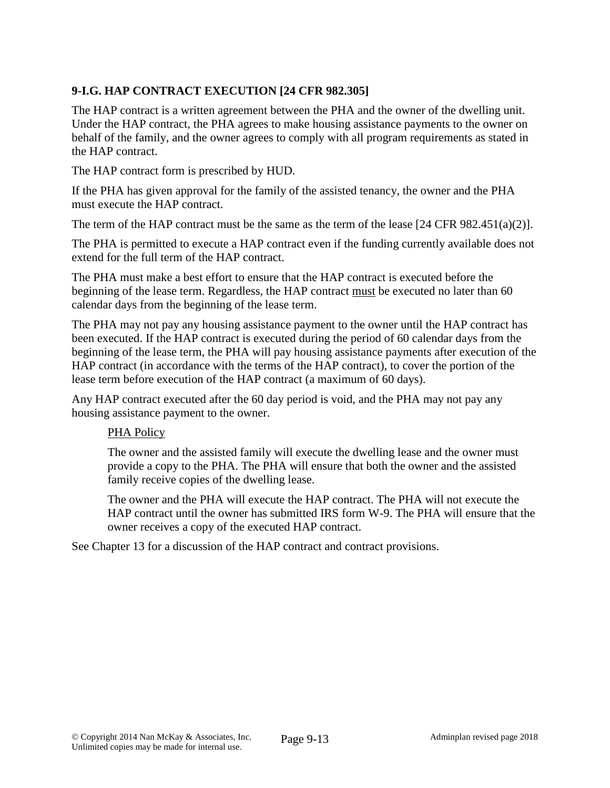# **9-I.G. HAP CONTRACT EXECUTION [24 CFR 982.305]**

The HAP contract is a written agreement between the PHA and the owner of the dwelling unit. Under the HAP contract, the PHA agrees to make housing assistance payments to the owner on behalf of the family, and the owner agrees to comply with all program requirements as stated in the HAP contract.

The HAP contract form is prescribed by HUD.

If the PHA has given approval for the family of the assisted tenancy, the owner and the PHA must execute the HAP contract.

The term of the HAP contract must be the same as the term of the lease [24 CFR 982.451(a)(2)].

The PHA is permitted to execute a HAP contract even if the funding currently available does not extend for the full term of the HAP contract.

The PHA must make a best effort to ensure that the HAP contract is executed before the beginning of the lease term. Regardless, the HAP contract must be executed no later than 60 calendar days from the beginning of the lease term.

The PHA may not pay any housing assistance payment to the owner until the HAP contract has been executed. If the HAP contract is executed during the period of 60 calendar days from the beginning of the lease term, the PHA will pay housing assistance payments after execution of the HAP contract (in accordance with the terms of the HAP contract), to cover the portion of the lease term before execution of the HAP contract (a maximum of 60 days).

Any HAP contract executed after the 60 day period is void, and the PHA may not pay any housing assistance payment to the owner.

### PHA Policy

The owner and the assisted family will execute the dwelling lease and the owner must provide a copy to the PHA. The PHA will ensure that both the owner and the assisted family receive copies of the dwelling lease.

The owner and the PHA will execute the HAP contract. The PHA will not execute the HAP contract until the owner has submitted IRS form W-9. The PHA will ensure that the owner receives a copy of the executed HAP contract.

See Chapter 13 for a discussion of the HAP contract and contract provisions.